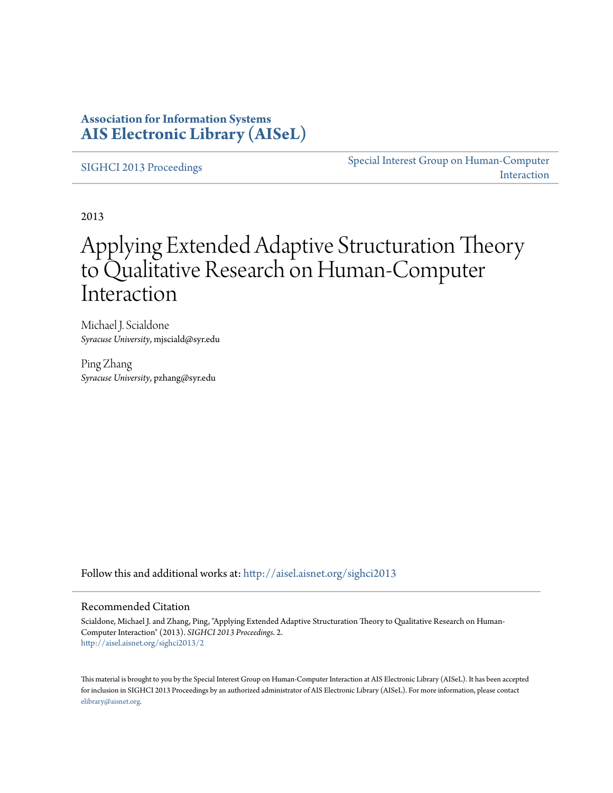### **Association for Information Systems [AIS Electronic Library \(AISeL\)](http://aisel.aisnet.org?utm_source=aisel.aisnet.org%2Fsighci2013%2F2&utm_medium=PDF&utm_campaign=PDFCoverPages)**

[SIGHCI 2013 Proceedings](http://aisel.aisnet.org/sighci2013?utm_source=aisel.aisnet.org%2Fsighci2013%2F2&utm_medium=PDF&utm_campaign=PDFCoverPages)

[Special Interest Group on Human-Computer](http://aisel.aisnet.org/sighci?utm_source=aisel.aisnet.org%2Fsighci2013%2F2&utm_medium=PDF&utm_campaign=PDFCoverPages) [Interaction](http://aisel.aisnet.org/sighci?utm_source=aisel.aisnet.org%2Fsighci2013%2F2&utm_medium=PDF&utm_campaign=PDFCoverPages)

2013

# Applying Extended Adaptive Structuration Theory to Qualitative Research on Human-Computer Interaction

Michael J. Scialdone *Syracuse University*, mjsciald@syr.edu

Ping Zhang *Syracuse University*, pzhang@syr.edu

Follow this and additional works at: [http://aisel.aisnet.org/sighci2013](http://aisel.aisnet.org/sighci2013?utm_source=aisel.aisnet.org%2Fsighci2013%2F2&utm_medium=PDF&utm_campaign=PDFCoverPages)

#### Recommended Citation

Scialdone, Michael J. and Zhang, Ping, "Applying Extended Adaptive Structuration Theory to Qualitative Research on Human-Computer Interaction" (2013). *SIGHCI 2013 Proceedings*. 2. [http://aisel.aisnet.org/sighci2013/2](http://aisel.aisnet.org/sighci2013/2?utm_source=aisel.aisnet.org%2Fsighci2013%2F2&utm_medium=PDF&utm_campaign=PDFCoverPages)

This material is brought to you by the Special Interest Group on Human-Computer Interaction at AIS Electronic Library (AISeL). It has been accepted for inclusion in SIGHCI 2013 Proceedings by an authorized administrator of AIS Electronic Library (AISeL). For more information, please contact [elibrary@aisnet.org.](mailto:elibrary@aisnet.org%3E)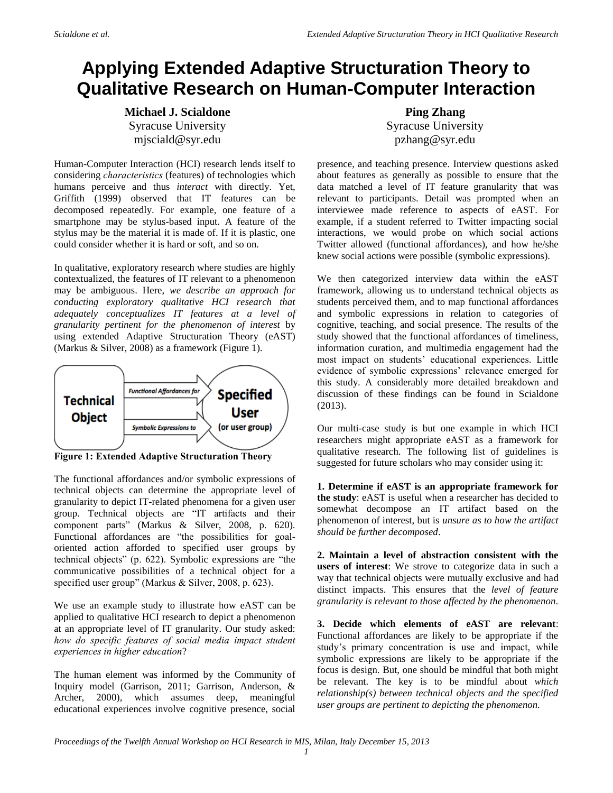## **Applying Extended Adaptive Structuration Theory to Qualitative Research on Human-Computer Interaction**

**Michael J. Scialdone** Syracuse University mjsciald@syr.edu

Human-Computer Interaction (HCI) research lends itself to considering *characteristics* (features) of technologies which humans perceive and thus *interact* with directly. Yet, Griffith (1999) observed that IT features can be decomposed repeatedly. For example, one feature of a smartphone may be stylus-based input. A feature of the stylus may be the material it is made of. If it is plastic, one could consider whether it is hard or soft, and so on.

In qualitative, exploratory research where studies are highly contextualized, the features of IT relevant to a phenomenon may be ambiguous. Here, *we describe an approach for conducting exploratory qualitative HCI research that adequately conceptualizes IT features at a level of granularity pertinent for the phenomenon of interest* by using extended Adaptive Structuration Theory (eAST) (Markus & Silver, 2008) as a framework (Figure 1).



**Figure 1: Extended Adaptive Structuration Theory** 

The functional affordances and/or symbolic expressions of technical objects can determine the appropriate level of granularity to depict IT-related phenomena for a given user group. Technical objects are "IT artifacts and their component parts" (Markus & Silver, 2008, p. 620). Functional affordances are "the possibilities for goaloriented action afforded to specified user groups by technical objects" (p. 622). Symbolic expressions are "the communicative possibilities of a technical object for a specified user group" (Markus & Silver, 2008, p. 623).

We use an example study to illustrate how eAST can be applied to qualitative HCI research to depict a phenomenon at an appropriate level of IT granularity. Our study asked: *how do specific features of social media impact student experiences in higher education*?

The human element was informed by the Community of Inquiry model (Garrison, 2011; Garrison, Anderson, & Archer, 2000), which assumes deep, meaningful educational experiences involve cognitive presence, social

**Ping Zhang** Syracuse University pzhang@syr.edu

presence, and teaching presence. Interview questions asked about features as generally as possible to ensure that the data matched a level of IT feature granularity that was relevant to participants. Detail was prompted when an interviewee made reference to aspects of eAST. For example, if a student referred to Twitter impacting social interactions, we would probe on which social actions Twitter allowed (functional affordances), and how he/she knew social actions were possible (symbolic expressions).

We then categorized interview data within the eAST framework, allowing us to understand technical objects as students perceived them, and to map functional affordances and symbolic expressions in relation to categories of cognitive, teaching, and social presence. The results of the study showed that the functional affordances of timeliness, information curation, and multimedia engagement had the most impact on students' educational experiences. Little evidence of symbolic expressions' relevance emerged for this study. A considerably more detailed breakdown and discussion of these findings can be found in Scialdone (2013).

Our multi-case study is but one example in which HCI researchers might appropriate eAST as a framework for qualitative research. The following list of guidelines is suggested for future scholars who may consider using it:

**1. Determine if eAST is an appropriate framework for the study**: eAST is useful when a researcher has decided to somewhat decompose an IT artifact based on the phenomenon of interest, but is *unsure as to how the artifact should be further decomposed*.

**2. Maintain a level of abstraction consistent with the users of interest**: We strove to categorize data in such a way that technical objects were mutually exclusive and had distinct impacts. This ensures that the *level of feature granularity is relevant to those affected by the phenomenon*.

**3. Decide which elements of eAST are relevant**: Functional affordances are likely to be appropriate if the study's primary concentration is use and impact, while symbolic expressions are likely to be appropriate if the focus is design. But, one should be mindful that both might be relevant. The key is to be mindful about *which relationship(s) between technical objects and the specified user groups are pertinent to depicting the phenomenon.*